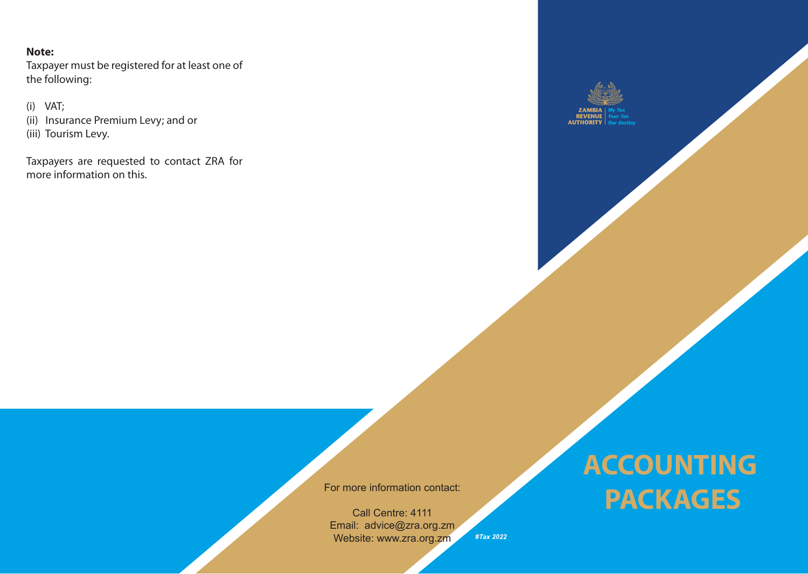## **Note:**

Taxpayer must be registered for at least one of the following:

(i) VAT; (ii) Insurance Premium Levy; and or (iii) Tourism Levy.

Taxpayers are requested to contact ZRA for more information on this.



For more information contact:

Call Centre: 4111 Email: advice@zra.org.zm Website: www.zra.org.zm *#Tax 2022*

## **ACCOUNTING PACKAGES**